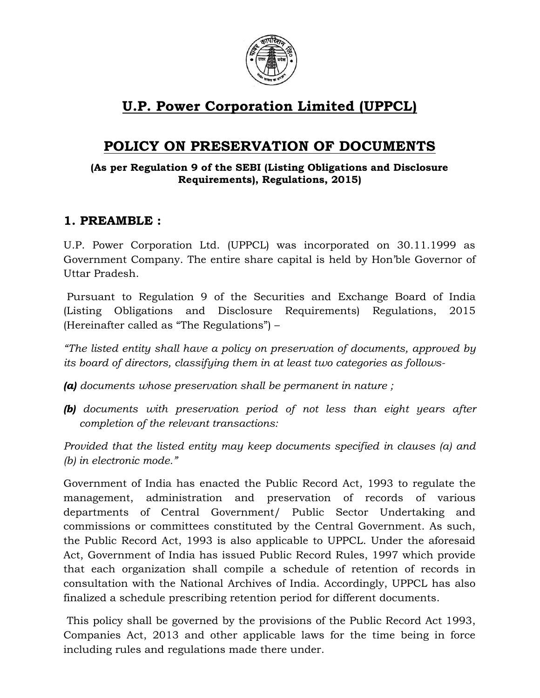

# U.P. Power Corporation Limited (UPPCL)

# POLICY ON PRESERVATION OF DOCUMENTS

#### (As per Regulation 9 of the SEBI (Listing Obligations and Disclosure Requirements), Regulations, 2015)

## 1. PREAMBLE :

U.P. Power Corporation Ltd. (UPPCL) was incorporated on 30.11.1999 as Government Company. The entire share capital is held by Hon'ble Governor of Uttar Pradesh.

 Pursuant to Regulation 9 of the Securities and Exchange Board of India (Listing Obligations and Disclosure Requirements) Regulations, 2015 (Hereinafter called as "The Regulations") –

"The listed entity shall have a policy on preservation of documents, approved by its board of directors, classifying them in at least two categories as follows-

- (a) documents whose preservation shall be permanent in nature ;
- **(b)** documents with preservation period of not less than eight years after completion of the relevant transactions:

Provided that the listed entity may keep documents specified in clauses (a) and (b) in electronic mode."

Government of India has enacted the Public Record Act, 1993 to regulate the management, administration and preservation of records of various departments of Central Government/ Public Sector Undertaking and commissions or committees constituted by the Central Government. As such, the Public Record Act, 1993 is also applicable to UPPCL. Under the aforesaid Act, Government of India has issued Public Record Rules, 1997 which provide that each organization shall compile a schedule of retention of records in consultation with the National Archives of India. Accordingly, UPPCL has also finalized a schedule prescribing retention period for different documents.

 This policy shall be governed by the provisions of the Public Record Act 1993, Companies Act, 2013 and other applicable laws for the time being in force including rules and regulations made there under.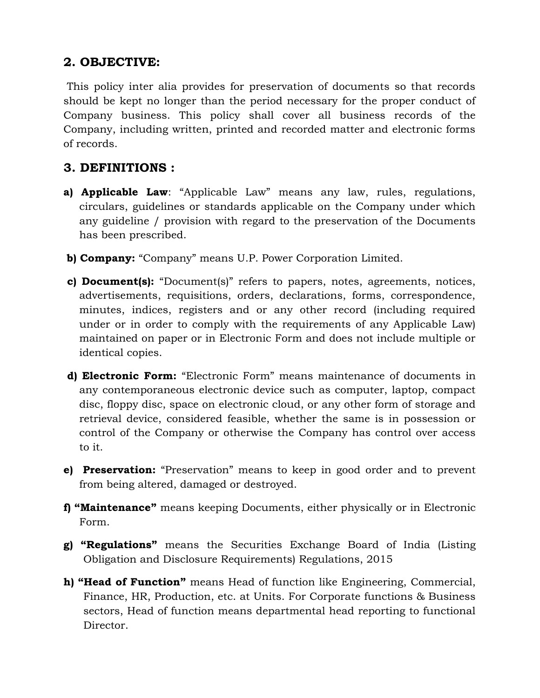## 2. OBJECTIVE:

 This policy inter alia provides for preservation of documents so that records should be kept no longer than the period necessary for the proper conduct of Company business. This policy shall cover all business records of the Company, including written, printed and recorded matter and electronic forms of records.

## 3. DEFINITIONS :

- a) **Applicable Law**: "Applicable Law" means any law, rules, regulations, circulars, guidelines or standards applicable on the Company under which any guideline / provision with regard to the preservation of the Documents has been prescribed.
- b) Company: "Company" means U.P. Power Corporation Limited.
- c) Document(s): "Document(s)" refers to papers, notes, agreements, notices, advertisements, requisitions, orders, declarations, forms, correspondence, minutes, indices, registers and or any other record (including required under or in order to comply with the requirements of any Applicable Law) maintained on paper or in Electronic Form and does not include multiple or identical copies.
- d) Electronic Form: "Electronic Form" means maintenance of documents in any contemporaneous electronic device such as computer, laptop, compact disc, floppy disc, space on electronic cloud, or any other form of storage and retrieval device, considered feasible, whether the same is in possession or control of the Company or otherwise the Company has control over access to it.
- e) Preservation: "Preservation" means to keep in good order and to prevent from being altered, damaged or destroyed.
- f) "Maintenance" means keeping Documents, either physically or in Electronic Form.
- g) "Regulations" means the Securities Exchange Board of India (Listing Obligation and Disclosure Requirements) Regulations, 2015
- h) "Head of Function" means Head of function like Engineering, Commercial, Finance, HR, Production, etc. at Units. For Corporate functions & Business sectors, Head of function means departmental head reporting to functional Director.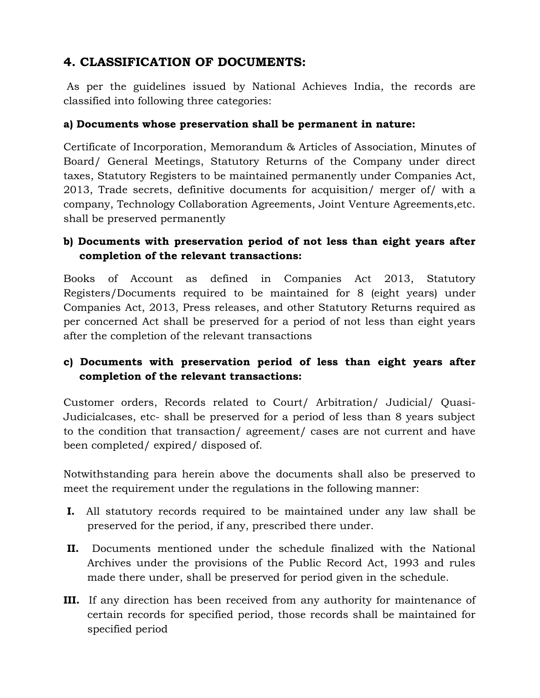# 4. CLASSIFICATION OF DOCUMENTS:

 As per the guidelines issued by National Achieves India, the records are classified into following three categories:

### a) Documents whose preservation shall be permanent in nature:

Certificate of Incorporation, Memorandum & Articles of Association, Minutes of Board/ General Meetings, Statutory Returns of the Company under direct taxes, Statutory Registers to be maintained permanently under Companies Act, 2013, Trade secrets, definitive documents for acquisition/ merger of/ with a company, Technology Collaboration Agreements, Joint Venture Agreements,etc. shall be preserved permanently

## b) Documents with preservation period of not less than eight years after completion of the relevant transactions:

Books of Account as defined in Companies Act 2013, Statutory Registers/Documents required to be maintained for 8 (eight years) under Companies Act, 2013, Press releases, and other Statutory Returns required as per concerned Act shall be preserved for a period of not less than eight years after the completion of the relevant transactions

## c) Documents with preservation period of less than eight years after completion of the relevant transactions:

Customer orders, Records related to Court/ Arbitration/ Judicial/ Quasi-Judicialcases, etc- shall be preserved for a period of less than 8 years subject to the condition that transaction/ agreement/ cases are not current and have been completed/ expired/ disposed of.

Notwithstanding para herein above the documents shall also be preserved to meet the requirement under the regulations in the following manner:

- I. All statutory records required to be maintained under any law shall be preserved for the period, if any, prescribed there under.
- II. Documents mentioned under the schedule finalized with the National Archives under the provisions of the Public Record Act, 1993 and rules made there under, shall be preserved for period given in the schedule.
- III. If any direction has been received from any authority for maintenance of certain records for specified period, those records shall be maintained for specified period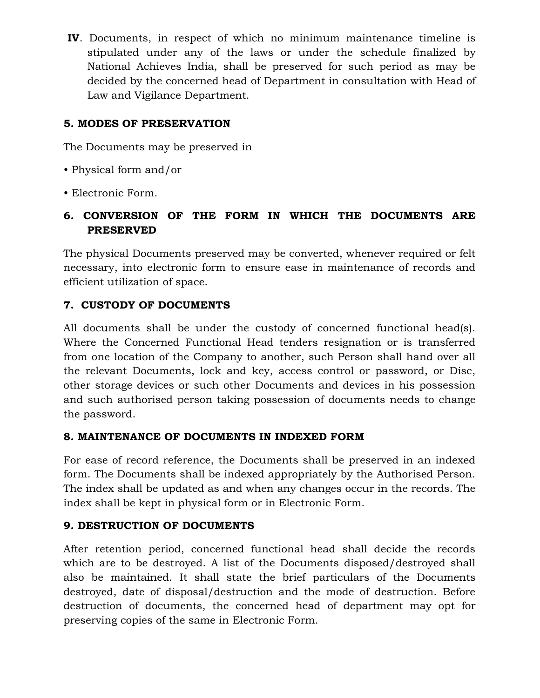IV. Documents, in respect of which no minimum maintenance timeline is stipulated under any of the laws or under the schedule finalized by National Achieves India, shall be preserved for such period as may be decided by the concerned head of Department in consultation with Head of Law and Vigilance Department.

## 5. MODES OF PRESERVATION

The Documents may be preserved in

- Physical form and/or
- Electronic Form.

## 6. CONVERSION OF THE FORM IN WHICH THE DOCUMENTS ARE PRESERVED

The physical Documents preserved may be converted, whenever required or felt necessary, into electronic form to ensure ease in maintenance of records and efficient utilization of space.

## 7. CUSTODY OF DOCUMENTS

All documents shall be under the custody of concerned functional head(s). Where the Concerned Functional Head tenders resignation or is transferred from one location of the Company to another, such Person shall hand over all the relevant Documents, lock and key, access control or password, or Disc, other storage devices or such other Documents and devices in his possession and such authorised person taking possession of documents needs to change the password.

#### 8. MAINTENANCE OF DOCUMENTS IN INDEXED FORM

For ease of record reference, the Documents shall be preserved in an indexed form. The Documents shall be indexed appropriately by the Authorised Person. The index shall be updated as and when any changes occur in the records. The index shall be kept in physical form or in Electronic Form.

#### 9. DESTRUCTION OF DOCUMENTS

After retention period, concerned functional head shall decide the records which are to be destroyed. A list of the Documents disposed/destroyed shall also be maintained. It shall state the brief particulars of the Documents destroyed, date of disposal/destruction and the mode of destruction. Before destruction of documents, the concerned head of department may opt for preserving copies of the same in Electronic Form.